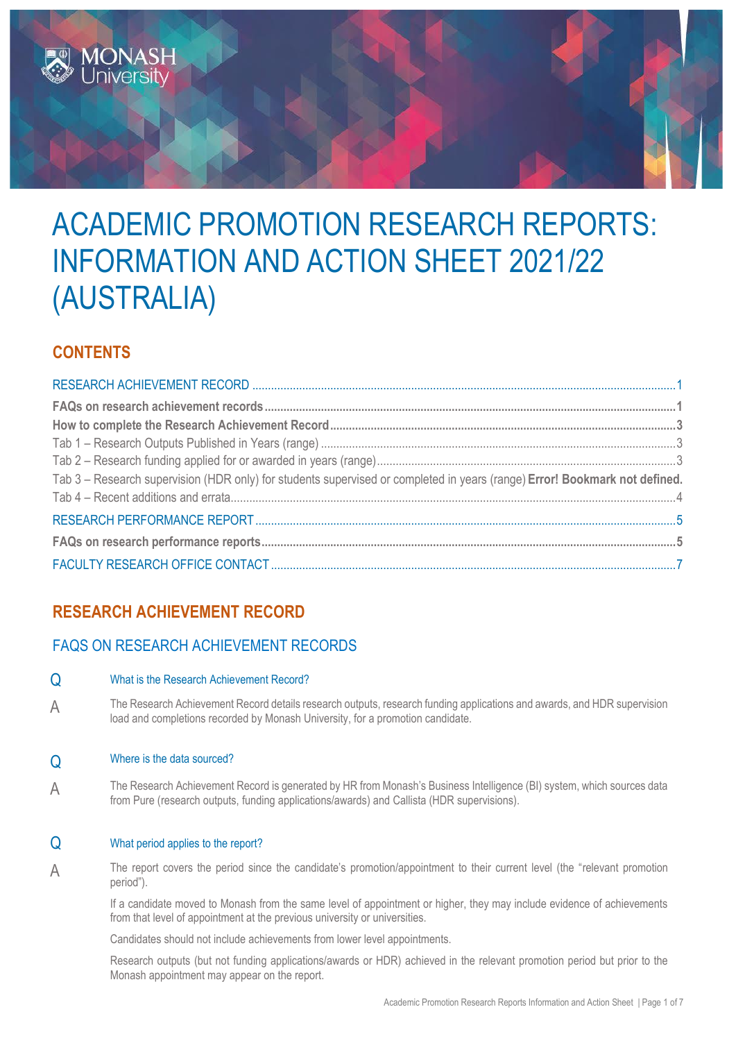

# ACADEMIC PROMOTION RESEARCH REPORTS: INFORMATION AND ACTION SHEET 2021/22 (AUSTRALIA)

# **CONTENTS**

| Tab 3 - Research supervision (HDR only) for students supervised or completed in years (range) Error! Bookmark not defined. |  |
|----------------------------------------------------------------------------------------------------------------------------|--|
|                                                                                                                            |  |
|                                                                                                                            |  |
|                                                                                                                            |  |
|                                                                                                                            |  |

# <span id="page-0-0"></span>**RESEARCH ACHIEVEMENT RECORD**

# <span id="page-0-1"></span>FAQS ON RESEARCH ACHIEVEMENT RECORDS

## Q What is the Research Achievement Record?

A The Research Achievement Record details research outputs, research funding applications and awards, and HDR supervision load and completions recorded by Monash University, for a promotion candidate.

## Q Where is the data sourced?

A The Research Achievement Record is generated by HR from Monash's Business Intelligence (BI) system, which sources data from Pure (research outputs, funding applications/awards) and Callista (HDR supervisions).

#### Q What period applies to the report?

A The report covers the period since the candidate's promotion/appointment to their current level (the "relevant promotion period").

If a candidate moved to Monash from the same level of appointment or higher, they may include evidence of achievements from that level of appointment at the previous university or universities.

Candidates should not include achievements from lower level appointments.

Research outputs (but not funding applications/awards or HDR) achieved in the relevant promotion period but prior to the Monash appointment may appear on the report.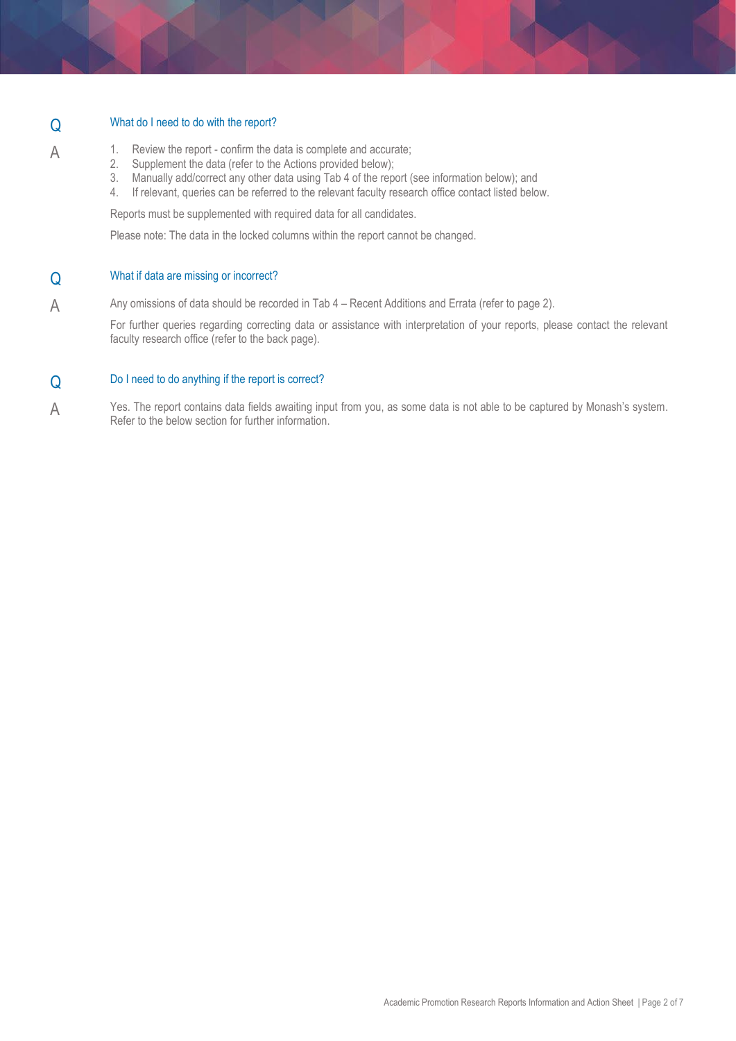## Q What do I need to do with the report?

- A 1. Review the report confirm the data is complete and accurate;
	- 2. Supplement the data (refer to the Actions provided below);
	- 3. Manually add/correct any other data using Tab 4 of the report (see information below); and
	- 4. If relevant, queries can be referred to the relevant faculty research office contact listed below.

Reports must be supplemented with required data for all candidates.

Please note: The data in the locked columns within the report cannot be changed.

#### Q What if data are missing or incorrect?

A Any omissions of data should be recorded in Tab 4 – Recent Additions and Errata (refer to page 2).

For further queries regarding correcting data or assistance with interpretation of your reports, please contact the relevant faculty research office (refer to the back page).

## Q Do I need to do anything if the report is correct?

<span id="page-1-0"></span>A Yes. The report contains data fields awaiting input from you, as some data is not able to be captured by Monash's system. Refer to the below section for further information.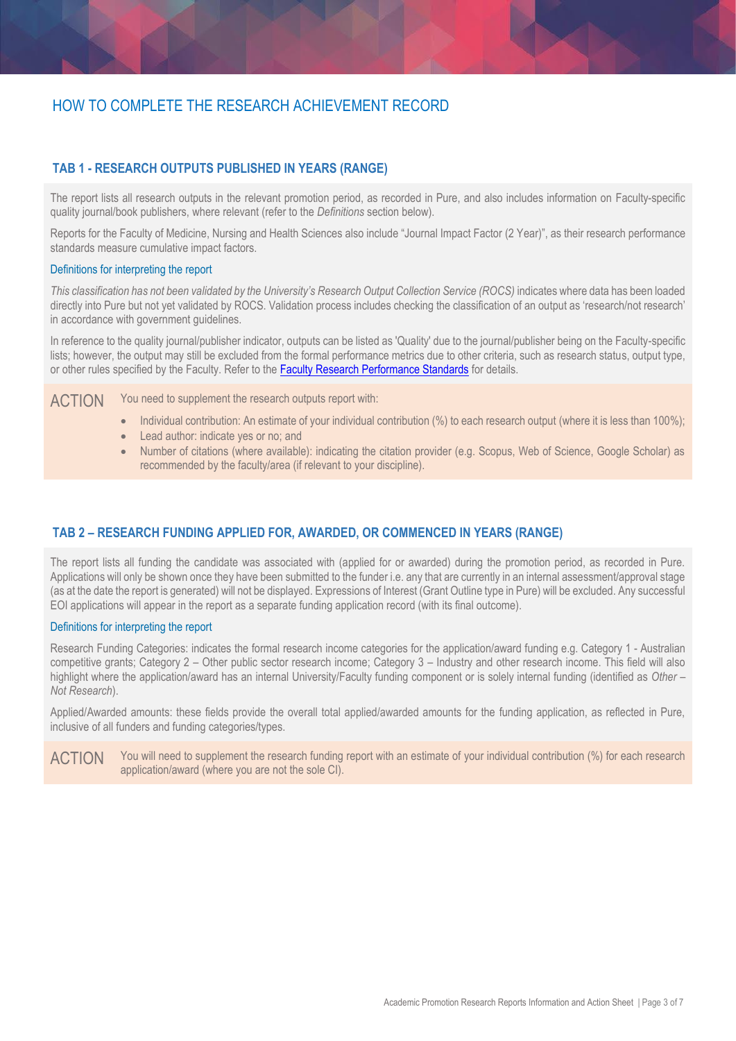## <span id="page-2-0"></span>HOW TO COMPLETE THE RESEARCH ACHIEVEMENT RECORD

#### **TAB 1 - RESEARCH OUTPUTS PUBLISHED IN YEARS (RANGE)**

The report lists all research outputs in the relevant promotion period, as recorded in Pure, and also includes information on Faculty-specific quality journal/book publishers, where relevant (refer to the *Definitions* section below).

Reports for the Faculty of Medicine, Nursing and Health Sciences also include "Journal Impact Factor (2 Year)", as their research performance standards measure cumulative impact factors.

#### Definitions for interpreting the report

*This classification has not been validated by the University's Research Output Collection Service (ROCS)* indicates where data has been loaded directly into Pure but not yet validated by ROCS. Validation process includes checking the classification of an output as 'research/not research' in accordance with government guidelines.

In reference to the quality journal/publisher indicator, outputs can be listed as 'Quality' due to the journal/publisher being on the Faculty-specific lists; however, the output may still be excluded from the formal performance metrics due to other criteria, such as research status, output type, or other rules specified by the Faculty. Refer to the [Faculty Research Performance Standards](https://www.monash.edu/academicpromotion/academic-performance-framework#Research-1) for details.

ACTION You need to supplement the research outputs report with:

- Individual contribution: An estimate of your individual contribution (%) to each research output (where it is less than 100%);
- Lead author: indicate yes or no; and
- Number of citations (where available): indicating the citation provider (e.g. Scopus, Web of Science, Google Scholar) as recommended by the faculty/area (if relevant to your discipline).

#### <span id="page-2-1"></span>**TAB 2 – RESEARCH FUNDING APPLIED FOR, AWARDED, OR COMMENCED IN YEARS (RANGE)**

The report lists all funding the candidate was associated with (applied for or awarded) during the promotion period, as recorded in Pure. Applications will only be shown once they have been submitted to the funder i.e. any that are currently in an internal assessment/approval stage (as at the date the report is generated) will not be displayed. Expressions of Interest (Grant Outline type in Pure) will be excluded. Any successful EOI applications will appear in the report as a separate funding application record (with its final outcome).

#### Definitions for interpreting the report

Research Funding Categories: indicates the formal research income categories for the application/award funding e.g. Category 1 - Australian competitive grants; Category 2 – Other public sector research income; Category 3 – Industry and other research income. This field will also highlight where the application/award has an internal University/Faculty funding component or is solely internal funding (identified as *Other – Not Research*).

Applied/Awarded amounts: these fields provide the overall total applied/awarded amounts for the funding application, as reflected in Pure, inclusive of all funders and funding categories/types.

ACTION You will need to supplement the research funding report with an estimate of your individual contribution (%) for each research application/award (where you are not the sole CI).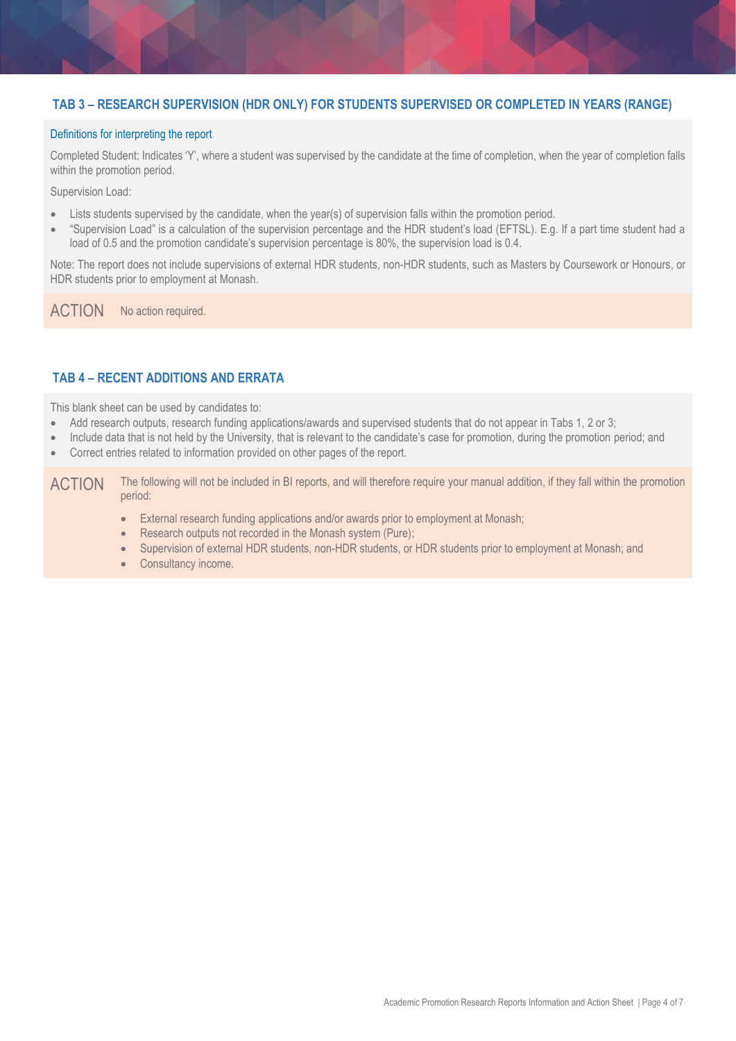## **TAB 3 – RESEARCH SUPERVISION (HDR ONLY) FOR STUDENTS SUPERVISED OR COMPLETED IN YEARS (RANGE)**

#### Definitions for interpreting the report

Completed Student: Indicates 'Y', where a student was supervised by the candidate at the time of completion, when the year of completion falls within the promotion period.

Supervision Load:

- Lists students supervised by the candidate, when the year(s) of supervision falls within the promotion period.
- "Supervision Load" is a calculation of the supervision percentage and the HDR student's load (EFTSL). E.g. If a part time student had a load of 0.5 and the promotion candidate's supervision percentage is 80%, the supervision load is 0.4.

Note: The report does not include supervisions of external HDR students, non-HDR students, such as Masters by Coursework or Honours, or HDR students prior to employment at Monash.

ACTION No action required.

## <span id="page-3-0"></span>**TAB 4 – RECENT ADDITIONS AND ERRATA**

This blank sheet can be used by candidates to:

- Add research outputs, research funding applications/awards and supervised students that do not appear in Tabs 1, 2 or 3;
- Include data that is not held by the University, that is relevant to the candidate's case for promotion, during the promotion period; and
- Correct entries related to information provided on other pages of the report.

ACTION The following will not be included in BI reports, and will therefore require your manual addition, if they fall within the promotion period:

- External research funding applications and/or awards prior to employment at Monash;
- Research outputs not recorded in the Monash system (Pure);
- Supervision of external HDR students, non-HDR students, or HDR students prior to employment at Monash; and
- Consultancy income.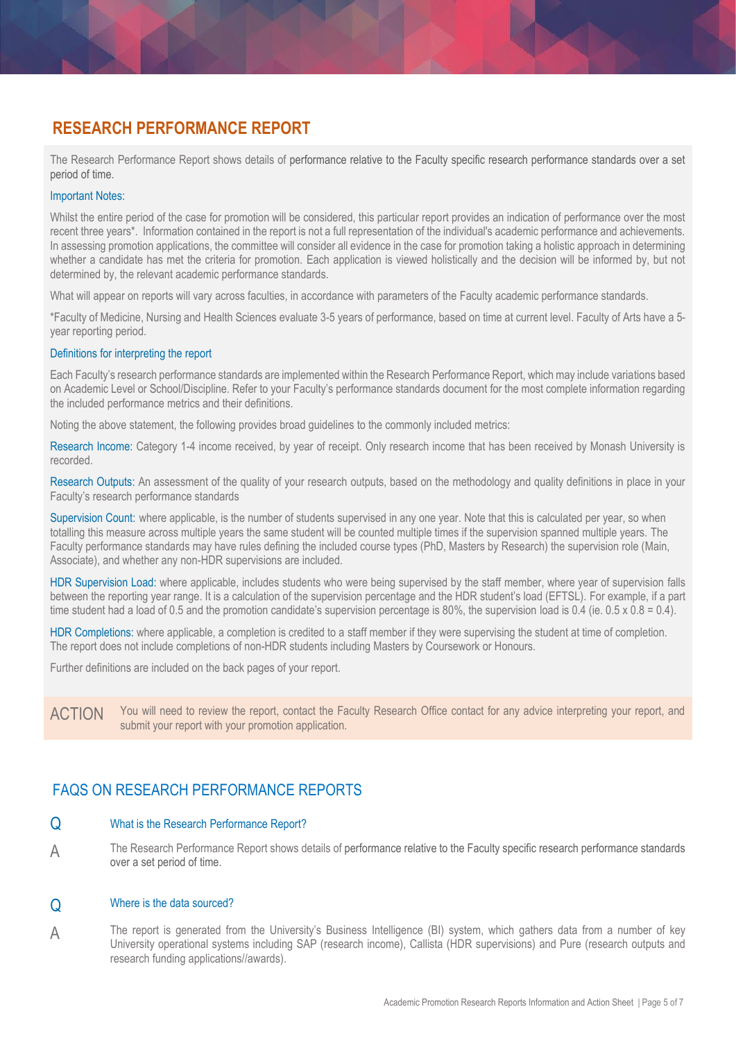# <span id="page-4-0"></span>**RESEARCH PERFORMANCE REPORT**

The Research Performance Report shows details of performance relative to the Faculty specific research performance standards over a set period of time.

#### Important Notes:

Whilst the entire period of the case for promotion will be considered, this particular report provides an indication of performance over the most recent three years\*. Information contained in the report is not a full representation of the individual's academic performance and achievements. In assessing promotion applications, the committee will consider all evidence in the case for promotion taking a holistic approach in determining whether a candidate has met the criteria for promotion. Each application is viewed holistically and the decision will be informed by, but not determined by, the relevant academic performance standards.

What will appear on reports will vary across faculties, in accordance with parameters of the Faculty academic performance standards.

\*Faculty of Medicine, Nursing and Health Sciences evaluate 3-5 years of performance, based on time at current level. Faculty of Arts have a 5 year reporting period.

#### Definitions for interpreting the report

Each Faculty's research performance standards are implemented within the Research Performance Report, which may include variations based on Academic Level or School/Discipline. Refer to your [Faculty's performance standards document](https://www.monash.edu/academicpromotion/academic-performance-framework#Research-1) for the most complete information regarding the included performance metrics and their definitions.

Noting the above statement, the following provides broad guidelines to the commonly included metrics:

Research Income: Category 1-4 income received, by year of receipt. Only research income that has been received by Monash University is recorded.

Research Outputs: An assessment of the quality of your research outputs, based on the methodology and quality definitions in place in your Faculty's research performance standards

Supervision Count: where applicable, is the number of students supervised in any one year. Note that this is calculated per year, so when totalling this measure across multiple years the same student will be counted multiple times if the supervision spanned multiple years. The Faculty performance standards may have rules defining the included course types (PhD, Masters by Research) the supervision role (Main, Associate), and whether any non-HDR supervisions are included.

HDR Supervision Load: where applicable, includes students who were being supervised by the staff member, where year of supervision falls between the reporting year range. It is a calculation of the supervision percentage and the HDR student's load (EFTSL). For example, if a part time student had a load of 0.5 and the promotion candidate's supervision percentage is 80%, the supervision load is 0.4 (ie. 0.5 x 0.8 = 0.4).

HDR Completions: where applicable, a completion is credited to a staff member if they were supervising the student at time of completion. The report does not include completions of non-HDR students including Masters by Coursework or Honours.

Further definitions are included on the back pages of your report.

<span id="page-4-1"></span>ACTION You will need to review the report, contact the Faculty Research Office contact for any advice interpreting your report, and submit your report with your promotion application.

# FAQS ON RESEARCH PERFORMANCE REPORTS

#### Q What is the Research Performance Report?

A The Research Performance Report shows details of performance relative to the Faculty specific research performance standards over a set period of time.

#### Q Where is the data sourced?

A The report is generated from the University's Business Intelligence (BI) system, which gathers data from a number of key University operational systems including SAP (research income), Callista (HDR supervisions) and Pure (research outputs and research funding applications//awards).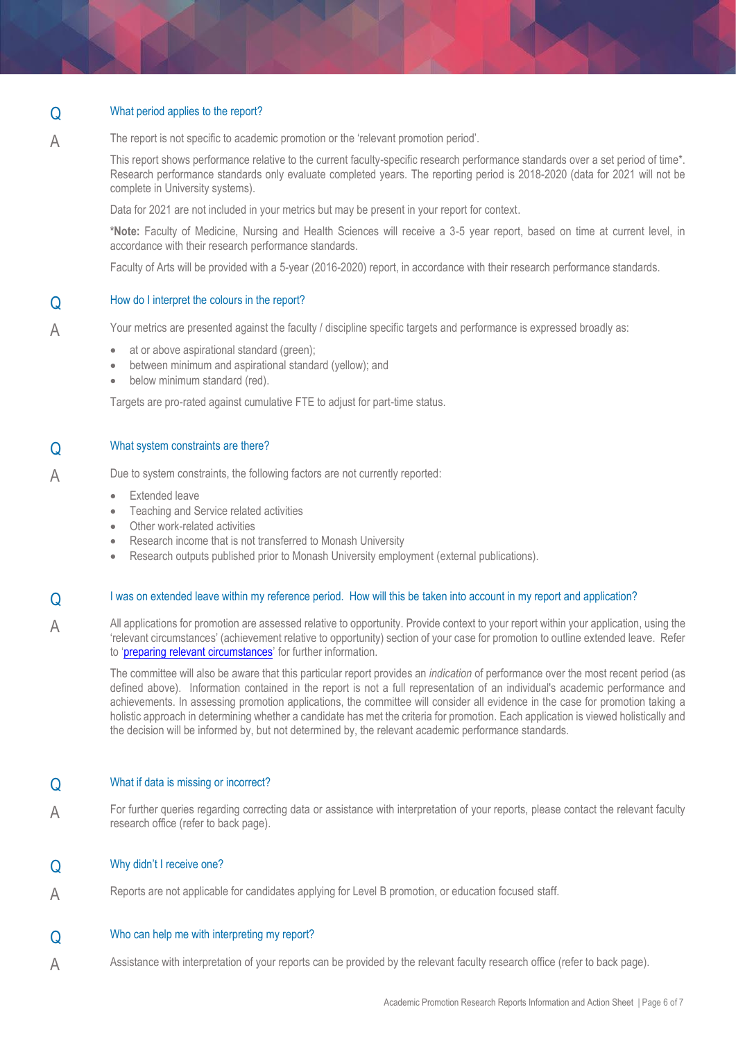#### Q What period applies to the report?

A The report is not specific to academic promotion or the 'relevant promotion period'.

> This report shows performance relative to the current faculty-specific research performance standards over a set period of time\*. Research performance standards only evaluate completed years. The reporting period is 2018-2020 (data for 2021 will not be complete in University systems).

Data for 2021 are not included in your metrics but may be present in your report for context.

**\*Note:** Faculty of Medicine, Nursing and Health Sciences will receive a 3-5 year report, based on time at current level, in accordance with their research performance standards.

Faculty of Arts will be provided with a 5-year (2016-2020) report, in accordance with their research performance standards.

#### Q How do I interpret the colours in the report?

A Your metrics are presented against the faculty / discipline specific targets and performance is expressed broadly as:

- at or above aspirational standard (green):
- between minimum and aspirational standard (yellow); and
- below minimum standard (red).

Targets are pro-rated against cumulative FTE to adjust for part-time status.

## Q What system constraints are there?

A Due to system constraints, the following factors are not currently reported:

- Extended leave
- Teaching and Service related activities
- Other work-related activities
- Research income that is not transferred to Monash University
- Research outputs published prior to Monash University employment (external publications).

#### Q I was on extended leave within my reference period. How will this be taken into account in my report and application?

A All applications for promotion are assessed relative to opportunity. Provide context to your report within your application, using the 'relevant circumstances' (achievement relative to opportunity) section of your case for promotion to outline extended leave. Refer to '[preparing relevant circumstances](https://www.monash.edu/academicpromotion/achievement-relative-to-opportunity/achievement-relative-to-opportunities)' for further information.

The committee will also be aware that this particular report provides an *indication* of performance over the most recent period (as defined above). Information contained in the report is not a full representation of an individual's academic performance and achievements. In assessing promotion applications, the committee will consider all evidence in the case for promotion taking a holistic approach in determining whether a candidate has met the criteria for promotion. Each application is viewed holistically and the decision will be informed by, but not determined by, the relevant academic performance standards.

#### Q What if data is missing or incorrect?

A For further queries regarding correcting data or assistance with interpretation of your reports, please contact the relevant faculty research office (refer to back page).

#### Q Why didn't I receive one?

A Reports are not applicable for candidates applying for Level B promotion, or education focused staff.

#### Q Who can help me with interpreting my report?

A Assistance with interpretation of your reports can be provided by the relevant faculty research office (refer to back page).